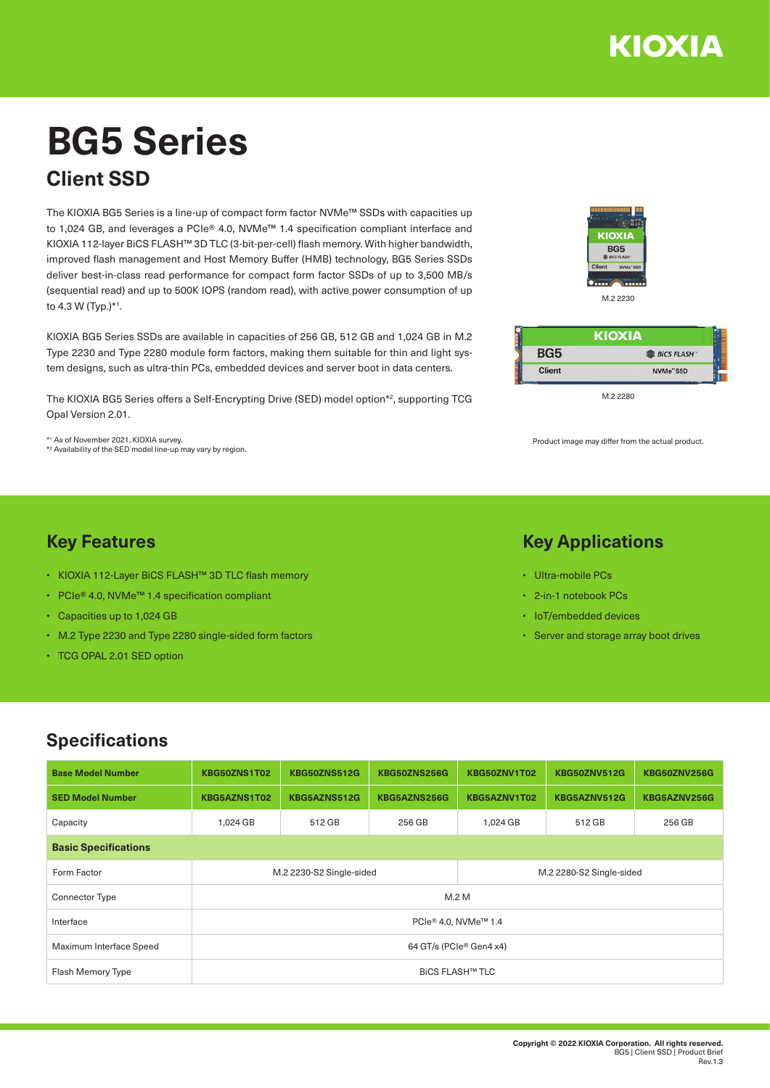

**非 BiCS FLASH** 

M.2 2280

**KIOXIA** 

Product image may differ from the actual product.

### **Key Applications**

• Ultra-mobile PCs

BG<sub>5</sub>

Client

- 2-in-1 notebook PCs
- IoT/embedded devices
- Server and storage array boot drives

# **BG5 Series**

# **Client SSD**

The KIOXIA BG5 Series is a line-up of compact form factor NVMe™ SSDs with capacities up to 1,024 GB, and leverages a PCIe® 4.0, NVMe™ 1.4 specification compliant interface and KIOXIA 112-layer BiCS FLASH™ 3D TLC (3-bit-per-cell) flash memory. With higher bandwidth, improved flash management and Host Memory Buffer (HMB) technology, BG5 Series SSDs deliver best-in-class read performance for compact form factor SSDs of up to 3,500 MB/s (sequential read) and up to 500K IOPS (random read), with active power consumption of up to 4.3 W (Typ.)\*1 .

KIOXIA BG5 Series SSDs are available in capacities of 256 GB, 512 GB and 1,024 GB in M.2 Type 2230 and Type 2280 module form factors, making them suitable for thin and light system designs, such as ultra-thin PCs, embedded devices and server boot in data centers.

The KIOXIA BG5 Series offers a Self-Encrypting Drive (SED) model option\*2 , supporting TCG Opal Version 2.01.

\*1 As of November 2021, KIOXIA survey. \*2 Availability of the SED model line-up may vary by region.

• KIOXIA 112-Layer BiCS FLASH™ 3D TLC flash memory

• M.2 Type 2230 and Type 2280 single-sided form factors

• PCIe® 4.0, NVMe™ 1.4 specification compliant

• Capacities up to 1,024 GB

• TCG OPAL 2.01 SED option

**Key Features**

# **Specifications**

| <b>Base Model Number</b>    | KBG50ZNS1T02             | <b>KBG50ZNS512G</b> | <b>KBG50ZNS256G</b> | KBG50ZNV1T02             | <b>KBG50ZNV512G</b> | <b>KBG50ZNV256G</b> |  |  |  |
|-----------------------------|--------------------------|---------------------|---------------------|--------------------------|---------------------|---------------------|--|--|--|
| <b>SED Model Number</b>     | KBG5AZNS1T02             | KBG5AZNS512G        | KBG5AZNS256G        | KBG5AZNV1T02             | KBG5AZNV512G        | KBG5AZNV256G        |  |  |  |
| Capacity                    | 1,024 GB                 | 512 GB              | 256 GB              | 1,024 GB                 | 512 GB              | 256 GB              |  |  |  |
| <b>Basic Specifications</b> |                          |                     |                     |                          |                     |                     |  |  |  |
| Form Factor                 | M.2 2230-S2 Single-sided |                     |                     | M.2 2280-S2 Single-sided |                     |                     |  |  |  |
| <b>Connector Type</b>       | M.2 M                    |                     |                     |                          |                     |                     |  |  |  |
| Interface                   | PCIe® 4.0, NVMe™ 1.4     |                     |                     |                          |                     |                     |  |  |  |
| Maximum Interface Speed     | 64 GT/s (PCle® Gen4 x4)  |                     |                     |                          |                     |                     |  |  |  |
| Flash Memory Type           | <b>BICS FLASH™ TLC</b>   |                     |                     |                          |                     |                     |  |  |  |